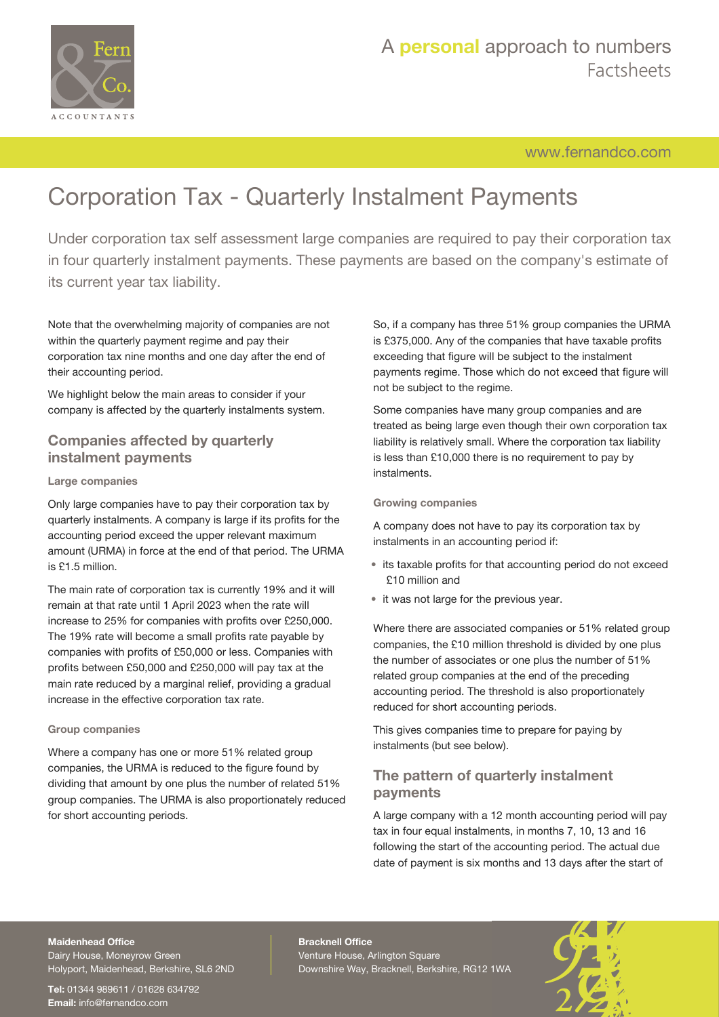

## [www.fernandco.com](http://www.fernandco.com)

# Corporation Tax - Quarterly Instalment Payments

Under corporation tax self assessment large companies are required to pay their corporation tax in four quarterly instalment payments. These payments are based on the company's estimate of its current year tax liability.

Note that the overwhelming majority of companies are not within the quarterly payment regime and pay their corporation tax nine months and one day after the end of their accounting period.

We highlight below the main areas to consider if your company is affected by the quarterly instalments system.

## **Companies affected by quarterly instalment payments**

#### **Large companies**

Only large companies have to pay their corporation tax by quarterly instalments. A company is large if its profits for the accounting period exceed the upper relevant maximum amount (URMA) in force at the end of that period. The URMA is £1.5 million.

The main rate of corporation tax is currently 19% and it will remain at that rate until 1 April 2023 when the rate will increase to 25% for companies with profits over £250,000. The 19% rate will become a small profits rate payable by companies with profits of £50,000 or less. Companies with profits between £50,000 and £250,000 will pay tax at the main rate reduced by a marginal relief, providing a gradual increase in the effective corporation tax rate.

#### **Group companies**

Where a company has one or more 51% related group companies, the URMA is reduced to the figure found by dividing that amount by one plus the number of related 51% group companies. The URMA is also proportionately reduced for short accounting periods.

So, if a company has three 51% group companies the URMA is £375,000. Any of the companies that have taxable profits exceeding that figure will be subject to the instalment payments regime. Those which do not exceed that figure will not be subject to the regime.

Some companies have many group companies and are treated as being large even though their own corporation tax liability is relatively small. Where the corporation tax liability is less than £10,000 there is no requirement to pay by instalments.

#### **Growing companies**

A company does not have to pay its corporation tax by instalments in an accounting period if:

- its taxable profits for that accounting period do not exceed £10 million and
- it was not large for the previous year.

Where there are associated companies or 51% related group companies, the £10 million threshold is divided by one plus the number of associates or one plus the number of 51% related group companies at the end of the preceding accounting period. The threshold is also proportionately reduced for short accounting periods.

This gives companies time to prepare for paying by instalments (but see below).

## **The pattern of quarterly instalment payments**

A large company with a 12 month accounting period will pay tax in four equal instalments, in months 7, 10, 13 and 16 following the start of the accounting period. The actual due date of payment is six months and 13 days after the start of

### **Maidenhead Office**

Dairy House, Moneyrow Green Holyport, Maidenhead, Berkshire, SL6 2ND

**Tel:** 01344 989611 / 01628 634792 **Email:** [info@fernandco.com](mailto:info@fernandco.com)

**Bracknell Office** Venture House, Arlington Square Downshire Way, Bracknell, Berkshire, RG12 1WA

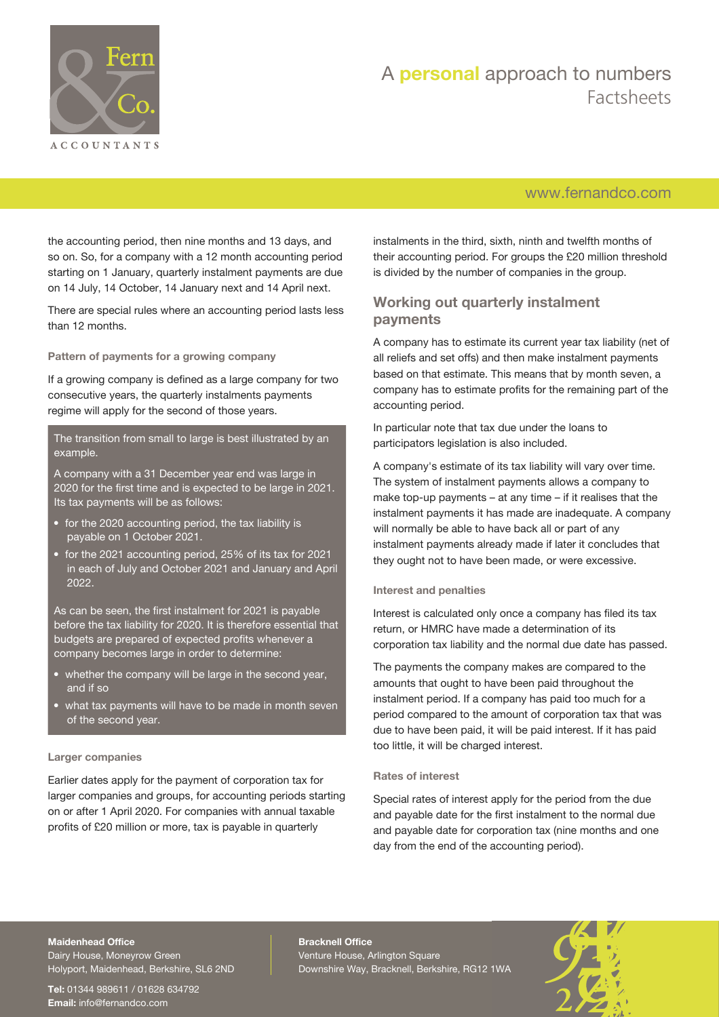

## A **personal** approach to numbers Factsheets

## [www.fernandco.com](http://www.fernandco.com)

the accounting period, then nine months and 13 days, and so on. So, for a company with a 12 month accounting period starting on 1 January, quarterly instalment payments are due on 14 July, 14 October, 14 January next and 14 April next.

There are special rules where an accounting period lasts less than 12 months.

**Pattern of payments for a growing company**

If a growing company is defined as a large company for two consecutive years, the quarterly instalments payments regime will apply for the second of those years.

The transition from small to large is best illustrated by an example.

A company with a 31 December year end was large in 2020 for the first time and is expected to be large in 2021. Its tax payments will be as follows:

- for the 2020 accounting period, the tax liability is payable on 1 October 2021.
- for the 2021 accounting period, 25% of its tax for 2021 in each of July and October 2021 and January and April 2022.

As can be seen, the first instalment for 2021 is payable before the tax liability for 2020. It is therefore essential that budgets are prepared of expected profits whenever a company becomes large in order to determine:

- whether the company will be large in the second year, and if so
- what tax payments will have to be made in month seven of the second year.

#### **Larger companies**

Earlier dates apply for the payment of corporation tax for larger companies and groups, for accounting periods starting on or after 1 April 2020. For companies with annual taxable profits of £20 million or more, tax is payable in quarterly

instalments in the third, sixth, ninth and twelfth months of their accounting period. For groups the £20 million threshold is divided by the number of companies in the group.

## **Working out quarterly instalment payments**

A company has to estimate its current year tax liability (net of all reliefs and set offs) and then make instalment payments based on that estimate. This means that by month seven, a company has to estimate profits for the remaining part of the accounting period.

In particular note that tax due under the loans to participators legislation is also included.

A company's estimate of its tax liability will vary over time. The system of instalment payments allows a company to make top-up payments – at any time – if it realises that the instalment payments it has made are inadequate. A company will normally be able to have back all or part of any instalment payments already made if later it concludes that they ought not to have been made, or were excessive.

#### **Interest and penalties**

Interest is calculated only once a company has filed its tax return, or HMRC have made a determination of its corporation tax liability and the normal due date has passed.

The payments the company makes are compared to the amounts that ought to have been paid throughout the instalment period. If a company has paid too much for a period compared to the amount of corporation tax that was due to have been paid, it will be paid interest. If it has paid too little, it will be charged interest.

#### **Rates of interest**

Special rates of interest apply for the period from the due and payable date for the first instalment to the normal due and payable date for corporation tax (nine months and one day from the end of the accounting period).

#### **Maidenhead Office**

Dairy House, Moneyrow Green Holyport, Maidenhead, Berkshire, SL6 2ND

**Tel:** 01344 989611 / 01628 634792 **Email:** [info@fernandco.com](mailto:info@fernandco.com)

**Bracknell Office** Venture House, Arlington Square Downshire Way, Bracknell, Berkshire, RG12 1WA